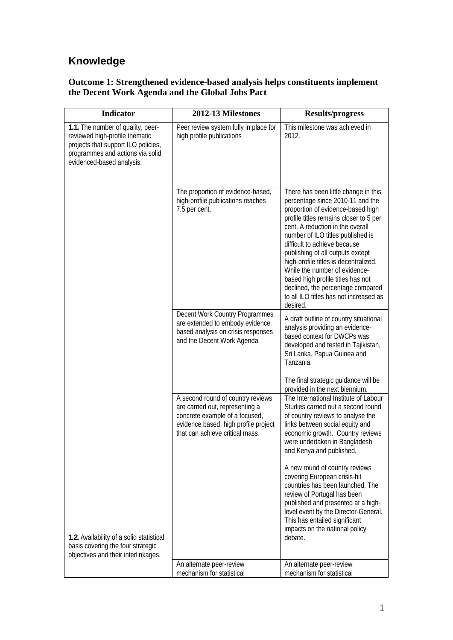## **Knowledge**

## **Outcome 1: Strengthened evidence-based analysis helps constituents implement the Decent Work Agenda and the Global Jobs Pact**

| <b>Indicator</b>                                                                                                                                                            | 2012-13 Milestones                                                                                                                                                                | <b>Results/progress</b>                                                                                                                                                                                                                                                                                                                                                                                                                                                                                        |
|-----------------------------------------------------------------------------------------------------------------------------------------------------------------------------|-----------------------------------------------------------------------------------------------------------------------------------------------------------------------------------|----------------------------------------------------------------------------------------------------------------------------------------------------------------------------------------------------------------------------------------------------------------------------------------------------------------------------------------------------------------------------------------------------------------------------------------------------------------------------------------------------------------|
| 1.1. The number of quality, peer-<br>reviewed high-profile thematic<br>projects that support ILO policies,<br>programmes and actions via solid<br>evidenced-based analysis. | Peer review system fully in place for<br>high profile publications                                                                                                                | This milestone was achieved in<br>2012.                                                                                                                                                                                                                                                                                                                                                                                                                                                                        |
|                                                                                                                                                                             | The proportion of evidence-based,<br>high-profile publications reaches<br>7.5 per cent.                                                                                           | There has been little change in this<br>percentage since 2010-11 and the<br>proportion of evidence-based high<br>profile titles remains closer to 5 per<br>cent. A reduction in the overall<br>number of ILO titles published is<br>difficult to achieve because<br>publishing of all outputs except<br>high-profile titles is decentralized.<br>While the number of evidence-<br>based high profile titles has not<br>declined, the percentage compared<br>to all ILO titles has not increased as<br>desired. |
|                                                                                                                                                                             | Decent Work Country Programmes<br>are extended to embody evidence<br>based analysis on crisis responses<br>and the Decent Work Agenda                                             | A draft outline of country situational<br>analysis providing an evidence-<br>based context for DWCPs was<br>developed and tested in Tajikistan,<br>Sri Lanka, Papua Guinea and<br>Tanzania.                                                                                                                                                                                                                                                                                                                    |
|                                                                                                                                                                             |                                                                                                                                                                                   | The final strategic guidance will be<br>provided in the next biennium.                                                                                                                                                                                                                                                                                                                                                                                                                                         |
|                                                                                                                                                                             | A second round of country reviews<br>are carried out, representing a<br>concrete example of a focused,<br>evidence based, high profile project<br>that can achieve critical mass. | The International Institute of Labour<br>Studies carried out a second round<br>of country reviews to analyse the<br>links between social equity and<br>economic growth. Country reviews<br>were undertaken in Bangladesh<br>and Kenya and published.                                                                                                                                                                                                                                                           |
|                                                                                                                                                                             |                                                                                                                                                                                   | A new round of country reviews<br>covering European crisis-hit<br>countries has been launched. The<br>review of Portugal has been<br>published and presented at a high-<br>level event by the Director-General.<br>This has entailed significant<br>impacts on the national policy                                                                                                                                                                                                                             |
| 1.2. Availability of a solid statistical<br>basis covering the four strategic<br>objectives and their interlinkages.                                                        |                                                                                                                                                                                   | debate.                                                                                                                                                                                                                                                                                                                                                                                                                                                                                                        |
|                                                                                                                                                                             | An alternate peer-review<br>mechanism for statistical                                                                                                                             | An alternate peer-review<br>mechanism for statistical                                                                                                                                                                                                                                                                                                                                                                                                                                                          |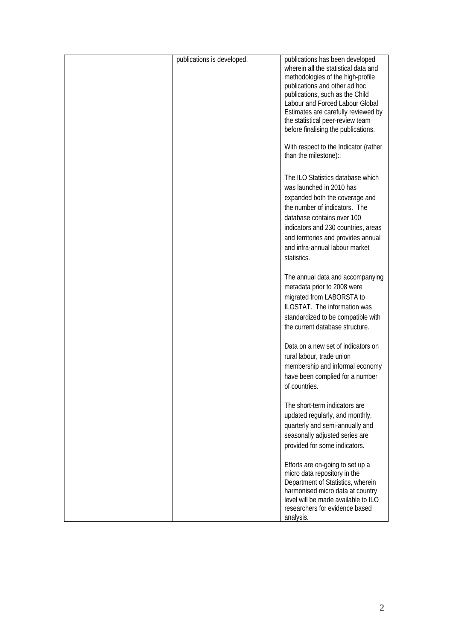| publications is developed. | publications has been developed<br>wherein all the statistical data and<br>methodologies of the high-profile<br>publications and other ad hoc<br>publications, such as the Child<br>Labour and Forced Labour Global<br>Estimates are carefully reviewed by<br>the statistical peer-review team<br>before finalising the publications.<br>With respect to the Indicator (rather<br>than the milestone):: |
|----------------------------|---------------------------------------------------------------------------------------------------------------------------------------------------------------------------------------------------------------------------------------------------------------------------------------------------------------------------------------------------------------------------------------------------------|
|                            | The ILO Statistics database which<br>was launched in 2010 has<br>expanded both the coverage and<br>the number of indicators. The<br>database contains over 100<br>indicators and 230 countries, areas<br>and territories and provides annual<br>and infra-annual labour market<br>statistics.                                                                                                           |
|                            | The annual data and accompanying<br>metadata prior to 2008 were<br>migrated from LABORSTA to<br>ILOSTAT. The information was<br>standardized to be compatible with<br>the current database structure.                                                                                                                                                                                                   |
|                            | Data on a new set of indicators on<br>rural labour, trade union<br>membership and informal economy<br>have been complied for a number<br>of countries.                                                                                                                                                                                                                                                  |
|                            | The short-term indicators are<br>updated regularly, and monthly,<br>quarterly and semi-annually and<br>seasonally adjusted series are<br>provided for some indicators.                                                                                                                                                                                                                                  |
|                            | Efforts are on-going to set up a<br>micro data repository in the<br>Department of Statistics, wherein<br>harmonised micro data at country<br>level will be made available to ILO<br>researchers for evidence based<br>analysis.                                                                                                                                                                         |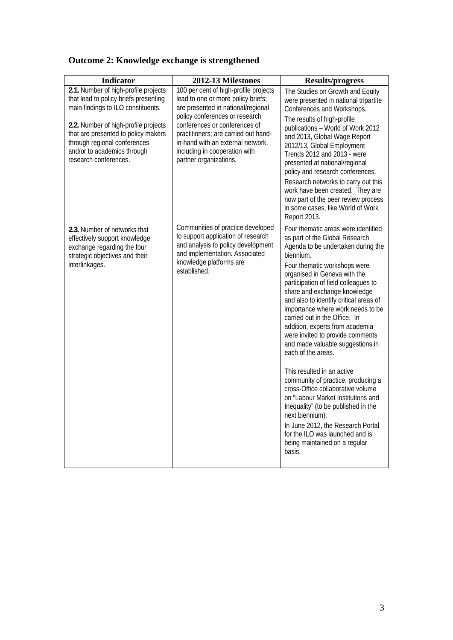|  | <b>Outcome 2: Knowledge exchange is strengthened</b> |
|--|------------------------------------------------------|
|  |                                                      |

| <b>Indicator</b>                                                                                                                                                                                                                                                                           | 2012-13 Milestones                                                                                                                                                                                                                                                                                                           | <b>Results/progress</b>                                                                                                                                                                                                                                                                                                                                                                                                                                                                                                                                                                                                                                                                                                                                                                                                                       |
|--------------------------------------------------------------------------------------------------------------------------------------------------------------------------------------------------------------------------------------------------------------------------------------------|------------------------------------------------------------------------------------------------------------------------------------------------------------------------------------------------------------------------------------------------------------------------------------------------------------------------------|-----------------------------------------------------------------------------------------------------------------------------------------------------------------------------------------------------------------------------------------------------------------------------------------------------------------------------------------------------------------------------------------------------------------------------------------------------------------------------------------------------------------------------------------------------------------------------------------------------------------------------------------------------------------------------------------------------------------------------------------------------------------------------------------------------------------------------------------------|
| 2.1. Number of high-profile projects<br>that lead to policy briefs presenting<br>main findings to ILO constituents.<br>2.2. Number of high-profile projects<br>that are presented to policy makers<br>through regional conferences<br>and/or to academics through<br>research conferences. | 100 per cent of high-profile projects<br>lead to one or more policy briefs;<br>are presented in national/regional<br>policy conferences or research<br>conferences or conferences of<br>practitioners; are carried out hand-<br>in-hand with an external network,<br>including in cooperation with<br>partner organizations. | The Studies on Growth and Equity<br>were presented in national tripartite<br>Conferences and Workshops.<br>The results of high-profile<br>publications - World of Work 2012<br>and 2013, Global Wage Report<br>2012/13, Global Employment<br>Trends 2012 and 2013 - were<br>presented at national/regional<br>policy and research conferences.<br>Research networks to carry out this<br>work have been created. They are<br>now part of the peer review process<br>in some cases, like World of Work<br>Report 2013.                                                                                                                                                                                                                                                                                                                         |
| 2.3. Number of networks that<br>effectively support knowledge<br>exchange regarding the four<br>strategic objectives and their<br>interlinkages.                                                                                                                                           | Communities of practice developed<br>to support application of research<br>and analysis to policy development<br>and implementation. Associated<br>knowledge platforms are<br>established.                                                                                                                                   | Four thematic areas were identified<br>as part of the Global Research<br>Agenda to be undertaken during the<br>biennium.<br>Four thematic workshops were<br>organised in Geneva with the<br>participation of field colleagues to<br>share and exchange knowledge<br>and also to identify critical areas of<br>importance where work needs to be<br>carried out in the Office. In<br>addition, experts from academia<br>were invited to provide comments<br>and made valuable suggestions in<br>each of the areas.<br>This resulted in an active<br>community of practice, producing a<br>cross-Office collaborative volume<br>on "Labour Market Institutions and<br>Inequality" (to be published in the<br>next biennium).<br>In June 2012, the Research Portal<br>for the ILO was launched and is<br>being maintained on a regular<br>basis. |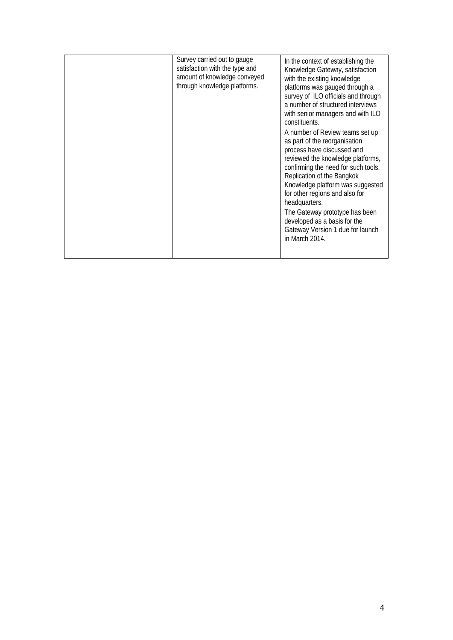|  | Survey carried out to gauge<br>satisfaction with the type and<br>amount of knowledge conveyed<br>through knowledge platforms. | In the context of establishing the<br>Knowledge Gateway, satisfaction<br>with the existing knowledge<br>platforms was gauged through a<br>survey of ILO officials and through<br>a number of structured interviews<br>with senior managers and with ILO<br>constituents.<br>A number of Review teams set up<br>as part of the reorganisation<br>process have discussed and<br>reviewed the knowledge platforms,<br>confirming the need for such tools.<br>Replication of the Bangkok<br>Knowledge platform was suggested<br>for other regions and also for<br>headquarters.<br>The Gateway prototype has been<br>developed as a basis for the<br>Gateway Version 1 due for launch<br>in March 2014. |
|--|-------------------------------------------------------------------------------------------------------------------------------|-----------------------------------------------------------------------------------------------------------------------------------------------------------------------------------------------------------------------------------------------------------------------------------------------------------------------------------------------------------------------------------------------------------------------------------------------------------------------------------------------------------------------------------------------------------------------------------------------------------------------------------------------------------------------------------------------------|
|--|-------------------------------------------------------------------------------------------------------------------------------|-----------------------------------------------------------------------------------------------------------------------------------------------------------------------------------------------------------------------------------------------------------------------------------------------------------------------------------------------------------------------------------------------------------------------------------------------------------------------------------------------------------------------------------------------------------------------------------------------------------------------------------------------------------------------------------------------------|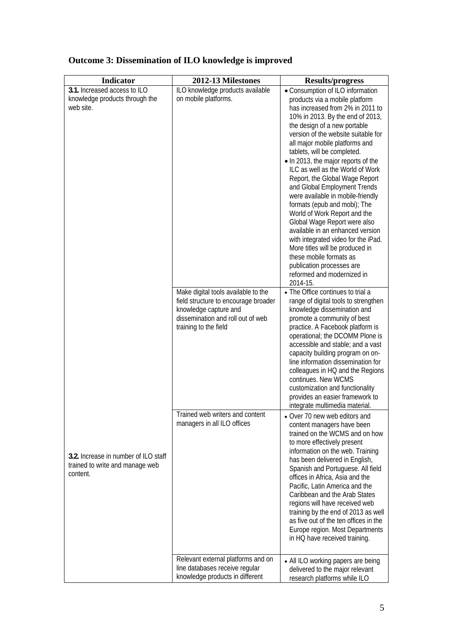| <b>Indicator</b>                                                                    | 2012-13 Milestones                                                                                                                                                 | <b>Results/progress</b>                                                                                                                                                                                                                                                                                                                                                                                                                                                                                                                                                                                                                                                                                                                                                              |
|-------------------------------------------------------------------------------------|--------------------------------------------------------------------------------------------------------------------------------------------------------------------|--------------------------------------------------------------------------------------------------------------------------------------------------------------------------------------------------------------------------------------------------------------------------------------------------------------------------------------------------------------------------------------------------------------------------------------------------------------------------------------------------------------------------------------------------------------------------------------------------------------------------------------------------------------------------------------------------------------------------------------------------------------------------------------|
| 3.1. Increased access to ILO<br>knowledge products through the<br>web site.         | ILO knowledge products available<br>on mobile platforms.                                                                                                           | • Consumption of ILO information<br>products via a mobile platform<br>has increased from 2% in 2011 to<br>10% in 2013. By the end of 2013,<br>the design of a new portable<br>version of the website suitable for<br>all major mobile platforms and<br>tablets, will be completed.<br>• In 2013, the major reports of the<br>ILC as well as the World of Work<br>Report, the Global Wage Report<br>and Global Employment Trends<br>were available in mobile-friendly<br>formats (epub and mobi); The<br>World of Work Report and the<br>Global Wage Report were also<br>available in an enhanced version<br>with integrated video for the iPad.<br>More titles will be produced in<br>these mobile formats as<br>publication processes are<br>reformed and modernized in<br>2014-15. |
|                                                                                     | Make digital tools available to the<br>field structure to encourage broader<br>knowledge capture and<br>dissemination and roll out of web<br>training to the field | • The Office continues to trial a<br>range of digital tools to strengthen<br>knowledge dissemination and<br>promote a community of best<br>practice. A Facebook platform is<br>operational; the DCOMM Plone is<br>accessible and stable; and a vast<br>capacity building program on on-<br>line information dissemination for<br>colleagues in HQ and the Regions<br>continues. New WCMS<br>customization and functionality<br>provides an easier framework to<br>integrate multimedia material.                                                                                                                                                                                                                                                                                     |
| 3.2. Increase in number of ILO staff<br>trained to write and manage web<br>content. | Trained web writers and content<br>managers in all ILO offices                                                                                                     | • Over 70 new web editors and<br>content managers have been<br>trained on the WCMS and on how<br>to more effectively present<br>information on the web. Training<br>has been delivered in English,<br>Spanish and Portuguese. All field<br>offices in Africa, Asia and the<br>Pacific, Latin America and the<br>Caribbean and the Arab States<br>regions will have received web<br>training by the end of 2013 as well<br>as five out of the ten offices in the<br>Europe region. Most Departments<br>in HQ have received training.                                                                                                                                                                                                                                                  |
|                                                                                     | Relevant external platforms and on<br>line databases receive regular<br>knowledge products in different                                                            | • All ILO working papers are being<br>delivered to the major relevant<br>research platforms while ILO                                                                                                                                                                                                                                                                                                                                                                                                                                                                                                                                                                                                                                                                                |

## **Outcome 3: Dissemination of ILO knowledge is improved**